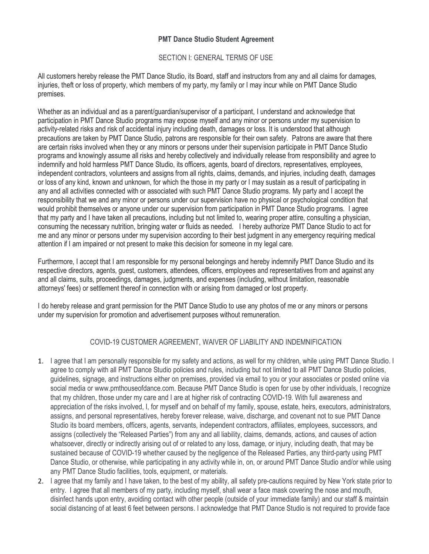## **PMT Dance Studio Student Agreement**

## SECTION I: GENERAL TERMS OF USE

All customers hereby release the PMT Dance Studio, its Board, staff and instructors from any and all claims for damages, injuries, theft or loss of property, which members of my party, my family or I may incur while on PMT Dance Studio premises.

Whether as an individual and as a parent/guardian/supervisor of a participant, I understand and acknowledge that participation in PMT Dance Studio programs may expose myself and any minor or persons under my supervision to activity-related risks and risk of accidental injury including death, damages or loss. It is understood that although precautions are taken by PMT Dance Studio, patrons are responsible for their own safety. Patrons are aware that there are certain risks involved when they or any minors or persons under their supervision participate in PMT Dance Studio programs and knowingly assume all risks and hereby collectively and individually release from responsibility and agree to indemnify and hold harmless PMT Dance Studio, its officers, agents, board of directors, representatives, employees, independent contractors, volunteers and assigns from all rights, claims, demands, and injuries, including death, damages or loss of any kind, known and unknown, for which the those in my party or I may sustain as a result of participating in any and all activities connected with or associated with such PMT Dance Studio programs. My party and I accept the responsibility that we and any minor or persons under our supervision have no physical or psychological condition that would prohibit themselves or anyone under our supervision from participation in PMT Dance Studio programs. I agree that my party and I have taken all precautions, including but not limited to, wearing proper attire, consulting a physician, consuming the necessary nutrition, bringing water or fluids as needed. I hereby authorize PMT Dance Studio to act for me and any minor or persons under my supervision according to their best judgment in any emergency requiring medical attention if I am impaired or not present to make this decision for someone in my legal care.

Furthermore, I accept that I am responsible for my personal belongings and hereby indemnify PMT Dance Studio and its respective directors, agents, guest, customers, attendees, officers, employees and representatives from and against any and all claims, suits, proceedings, damages, judgments, and expenses (including, without limitation, reasonable attorneys' fees) or settlement thereof in connection with or arising from damaged or lost property.

I do hereby release and grant permission for the PMT Dance Studio to use any photos of me or any minors or persons under my supervision for promotion and advertisement purposes without remuneration.

## COVID-19 CUSTOMER AGREEMENT, WAIVER OF LIABILITY AND INDEMNIFICATION

- 1. I agree that I am personally responsible for my safety and actions, as well for my children, while using PMT Dance Studio. I agree to comply with all PMT Dance Studio policies and rules, including but not limited to all PMT Dance Studio policies, guidelines, signage, and instructions either on premises, provided via email to you or your associates or posted online via social media or www.pmthouseofdance.com. Because PMT Dance Studio is open for use by other individuals, I recognize that my children, those under my care and I are at higher risk of contracting COVID-19. With full awareness and appreciation of the risks involved, I, for myself and on behalf of my family, spouse, estate, heirs, executors, administrators, assigns, and personal representatives, hereby forever release, waive, discharge, and covenant not to sue PMT Dance Studio its board members, officers, agents, servants, independent contractors, affiliates, employees, successors, and assigns (collectively the "Released Parties") from any and all liability, claims, demands, actions, and causes of action whatsoever, directly or indirectly arising out of or related to any loss, damage, or injury, including death, that may be sustained because of COVID-19 whether caused by the negligence of the Released Parties, any third-party using PMT Dance Studio, or otherwise, while participating in any activity while in, on, or around PMT Dance Studio and/or while using any PMT Dance Studio facilities, tools, equipment, or materials.
- 2. I agree that my family and I have taken, to the best of my ability, all safety pre-cautions required by New York state prior to entry. I agree that all members of my party, including myself, shall wear a face mask covering the nose and mouth, disinfect hands upon entry, avoiding contact with other people (outside of your immediate family) and our staff & maintain social distancing of at least 6 feet between persons. I acknowledge that PMT Dance Studio is not required to provide face